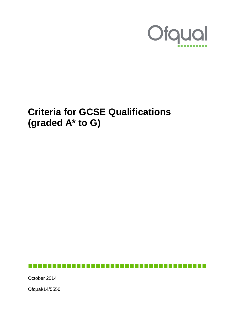

# **Criteria for GCSE Qualifications (graded A\* to G)**

October 2014

Ofqual/14/5550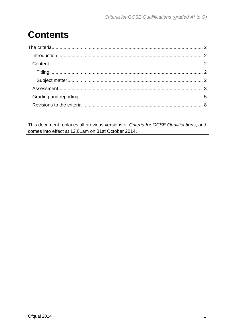# **Contents**

This document replaces all previous versions of Criteria for GCSE Qualifications, and comes into effect at 12.01am on 31st October 2014.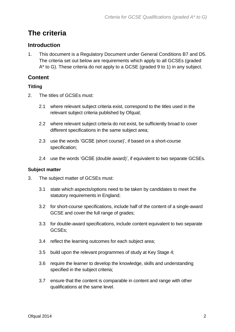# <span id="page-2-0"></span>**The criteria**

### <span id="page-2-1"></span>**Introduction**

1. This document is a Regulatory Document under General Conditions B7 and D5. The criteria set out below are requirements which apply to all GCSEs (graded A\* to G). These criteria do not apply to a GCSE (graded 9 to 1) in any subject.

# <span id="page-2-2"></span>**Content**

#### <span id="page-2-3"></span>**Titling**

- 2. The titles of GCSEs must:
	- 2.1 where relevant subject criteria exist, correspond to the titles used in the relevant subject criteria published by Ofqual;
	- 2.2 where relevant subject criteria do not exist, be sufficiently broad to cover different specifications in the same subject area;
	- 2.3 use the words 'GCSE (short course)', if based on a short-course specification;
	- 2.4 use the words 'GCSE (double award)', if equivalent to two separate GCSEs.

#### <span id="page-2-4"></span>**Subject matter**

- 3. The subject matter of GCSEs must:
	- 3.1 state which aspects/options need to be taken by candidates to meet the statutory requirements in England;
	- 3.2 for short-course specifications, include half of the content of a single-award GCSE and cover the full range of grades;
	- 3.3 for double-award specifications, include content equivalent to two separate GCSEs;
	- 3.4 reflect the learning outcomes for each subject area;
	- 3.5 build upon the relevant programmes of study at Key Stage 4;
	- 3.6 require the learner to develop the knowledge, skills and understanding specified in the subject criteria;
	- 3.7 ensure that the content is comparable in content and range with other qualifications at the same level.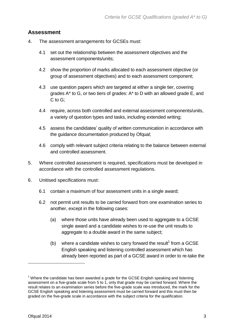#### <span id="page-3-0"></span>**Assessment**

- 4. The assessment arrangements for GCSEs must:
	- 4.1 set out the relationship between the assessment objectives and the assessment components/units;
	- 4.2 show the proportion of marks allocated to each assessment objective (or group of assessment objectives) and to each assessment component;
	- 4.3 use question papers which are targeted at either a single tier, covering grades A\* to G, or two tiers of grades: A\* to D with an allowed grade E, and C to G;
	- 4.4 require, across both controlled and external assessment components/units, a variety of question types and tasks, including extended writing;
	- 4.5 assess the candidates' quality of written communication in accordance with the guidance documentation produced by Ofqual;
	- 4.6 comply with relevant subject criteria relating to the balance between external and controlled assessment.
- 5. Where controlled assessment is required, specifications must be developed in accordance with the controlled assessment regulations.
- 6. Unitised specifications must:
	- 6.1 contain a maximum of four assessment units in a single award;
	- 6.2 not permit unit results to be carried forward from one examination series to another, except in the following cases:
		- (a) where those units have already been used to aggregate to a GCSE single award and a candidate wishes to re-use the unit results to aggregate to a double award in the same subject;
		- (b) where a candidate wishes to carry forward the result<sup>1</sup> from a GCSE English speaking and listening controlled assessment which has already been reported as part of a GCSE award in order to re-take the

 $\overline{a}$ 

 $1$  Where the candidate has been awarded a grade for the GCSE English speaking and listening assessment on a five-grade scale from 5 to 1, only that grade may be carried forward. Where the result relates to an examination series before the five-grade scale was introduced, the mark for the GCSE English speaking and listening assessment must be carried forward and this must then be graded on the five-grade scale in accordance with the subject criteria for the qualification.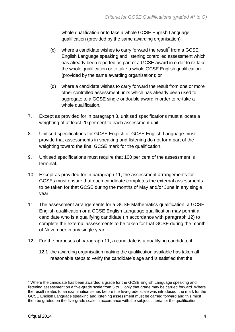whole qualification or to take a whole GCSE English Language qualification (provided by the same awarding organisation);

- (c) where a candidate wishes to carry forward the result<sup>2</sup> from a GCSE English Language speaking and listening controlled assessment which has already been reported as part of a GCSE award in order to re-take the whole qualification or to take a whole GCSE English qualification (provided by the same awarding organisation); or
- (d) where a candidate wishes to carry forward the result from one or more other controlled assessment units which has already been used to aggregate to a GCSE single or double award in order to re-take a whole qualification.
- 7. Except as provided for in paragraph 8, unitised specifications must allocate a weighting of at least 20 per cent to each assessment unit.
- 8. Unitised specifications for GCSE English or GCSE English Language must provide that assessments in speaking and listening do not form part of the weighting toward the final GCSE mark for the qualification.
- 9. Unitised specifications must require that 100 per cent of the assessment is terminal.
- 10. Except as provided for in paragraph 11, the assessment arrangements for GCSEs must ensure that each candidate completes the external assessments to be taken for that GCSE during the months of May and/or June in any single year.
- 11. The assessment arrangements for a GCSE Mathematics qualification, a GCSE English qualification or a GCSE English Language qualification may permit a candidate who is a qualifying candidate (in accordance with paragraph 12) to complete the external assessments to be taken for that GCSE during the month of November in any single year.
- 12. For the purposes of paragraph 11, a candidate is a qualifying candidate if:
	- 12.1 the awarding organisation making the qualification available has taken all reasonable steps to verify the candidate's age and is satisfied that the

 $\overline{a}$ 

 $2$  Where the candidate has been awarded a grade for the GCSE English Language speaking and listening assessment on a five-grade scale from 5 to 1, only that grade may be carried forward. Where the result relates to an examination series before the five-grade scale was introduced, the mark for the GCSE English Language speaking and listening assessment must be carried forward and this must then be graded on the five-grade scale in accordance with the subject criteria for the qualification.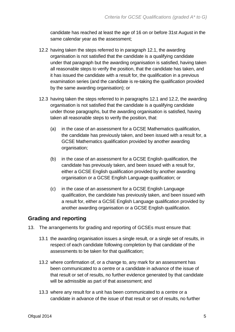candidate has reached at least the age of 16 on or before 31st August in the same calendar year as the assessment;

- 12.2 having taken the steps referred to in paragraph 12.1, the awarding organisation is not satisfied that the candidate is a qualifying candidate under that paragraph but the awarding organisation is satisfied, having taken all reasonable steps to verify the position, that the candidate has taken, and it has issued the candidate with a result for, the qualification in a previous examination series (and the candidate is re-taking the qualification provided by the same awarding organisation); or
- 12.3 having taken the steps referred to in paragraphs 12.1 and 12.2, the awarding organisation is not satisfied that the candidate is a qualifying candidate under those paragraphs, but the awarding organisation is satisfied, having taken all reasonable steps to verify the position, that:
	- (a) in the case of an assessment for a GCSE Mathematics qualification, the candidate has previously taken, and been issued with a result for, a GCSE Mathematics qualification provided by another awarding organisation;
	- (b) in the case of an assessment for a GCSE English qualification, the candidate has previously taken, and been issued with a result for, either a GCSE English qualification provided by another awarding organisation or a GCSE English Language qualification; or
	- (c) in the case of an assessment for a GCSE English Language qualification, the candidate has previously taken, and been issued with a result for, either a GCSE English Language qualification provided by another awarding organisation or a GCSE English qualification.

### <span id="page-5-0"></span>**Grading and reporting**

- 13. The arrangements for grading and reporting of GCSEs must ensure that:
	- 13.1 the awarding organisation issues a single result, or a single set of results, in respect of each candidate following completion by that candidate of the assessments to be taken for that qualification;
	- 13.2 where confirmation of, or a change to, any mark for an assessment has been communicated to a centre or a candidate in advance of the issue of that result or set of results, no further evidence generated by that candidate will be admissible as part of that assessment; and
	- 13.3 where any result for a unit has been communicated to a centre or a candidate in advance of the issue of that result or set of results, no further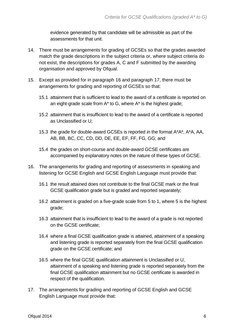evidence generated by that candidate will be admissible as part of the assessments for that unit.

- 14. There must be arrangements for grading of GCSEs so that the grades awarded match the grade descriptions in the subject criteria or, where subject criteria do not exist, the descriptions for grades A, C and F submitted by the awarding organisation and approved by Ofqual.
- 15. Except as provided for in paragraph 16 and paragraph 17, there must be arrangements for grading and reporting of GCSEs so that:
	- 15.1 attainment that is sufficient to lead to the award of a certificate is reported on an eight-grade scale from A\* to G, where A\* is the highest grade;
	- 15.2 attainment that is insufficient to lead to the award of a certificate is reported as Unclassified or U;
	- 15.3 the grade for double-award GCSEs is reported in the format A\*A\*, A\*A, AA, AB, BB, BC, CC, CD, DD, DE, EE, EF, FF, FG, GG; and
	- 15.4 the grades on short-course and double-award GCSE certificates are accompanied by explanatory notes on the nature of these types of GCSE.
- 16. The arrangements for grading and reporting of assessments in speaking and listening for GCSE English and GCSE English Language must provide that:
	- 16.1 the result attained does not contribute to the final GCSE mark or the final GCSE qualification grade but is graded and reported separately;
	- 16.2 attainment is graded on a five-grade scale from 5 to 1, where 5 is the highest grade;
	- 16.3 attainment that is insufficient to lead to the award of a grade is not reported on the GCSE certificate;
	- 16.4 where a final GCSE qualification grade is attained, attainment of a speaking and listening grade is reported separately from the final GCSE qualification grade on the GCSE certificate; and
	- 16.5 where the final GCSE qualification attainment is Unclassified or U, attainment of a speaking and listening grade is reported separately from the final GCSE qualification attainment but no GCSE certificate is awarded in respect of the qualification.
- 17. The arrangements for grading and reporting of GCSE English and GCSE English Language must provide that: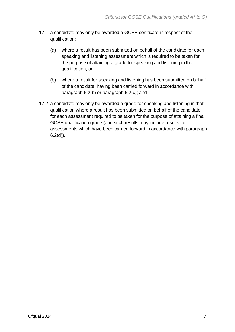- 17.1 a candidate may only be awarded a GCSE certificate in respect of the qualification:
	- (a) where a result has been submitted on behalf of the candidate for each speaking and listening assessment which is required to be taken for the purpose of attaining a grade for speaking and listening in that qualification; or
	- (b) where a result for speaking and listening has been submitted on behalf of the candidate, having been carried forward in accordance with paragraph 6.2(b) or paragraph 6.2(c); and
- 17.2 a candidate may only be awarded a grade for speaking and listening in that qualification where a result has been submitted on behalf of the candidate for each assessment required to be taken for the purpose of attaining a final GCSE qualification grade (and such results may include results for assessments which have been carried forward in accordance with paragraph  $6.2(d)$ ).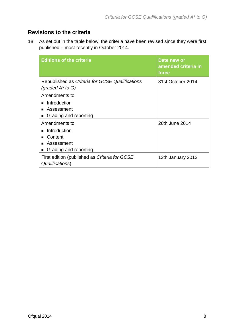## <span id="page-8-0"></span>**Revisions to the criteria**

18. As set out in the table below, the criteria have been revised since they were first published – most recently in October 2014.

| <b>Editions of the criteria</b>                                        | Date new or<br>amended criteria in<br>force |
|------------------------------------------------------------------------|---------------------------------------------|
| Republished as Criteria for GCSE Qualifications<br>(graded $A^*$ to G) | 31st October 2014                           |
| Amendments to:                                                         |                                             |
| Introduction                                                           |                                             |
| ■ Assessment                                                           |                                             |
| ■ Grading and reporting                                                |                                             |
| Amendments to:                                                         | 26th June 2014                              |
| Introduction                                                           |                                             |
| Content                                                                |                                             |
| Assessment                                                             |                                             |
| Grading and reporting                                                  |                                             |
| First edition (published as Criteria for GCSE<br>Qualifications)       | 13th January 2012                           |